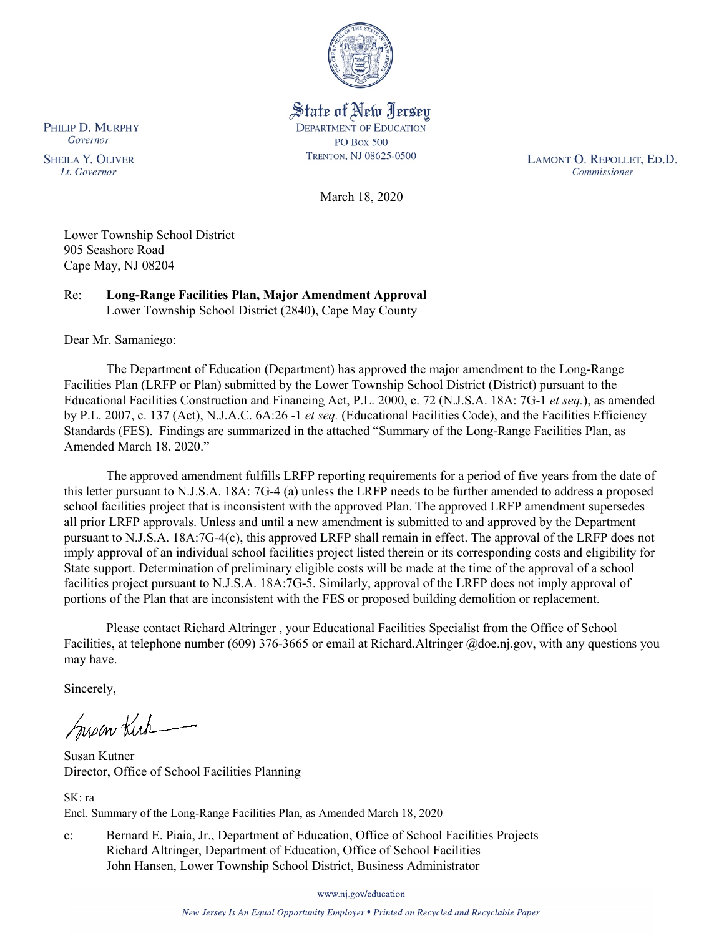

State of New Jersey **DEPARTMENT OF EDUCATION PO Box 500** TRENTON, NJ 08625-0500

LAMONT O. REPOLLET, ED.D. Commissioner

March 18, 2020

Lower Township School District 905 Seashore Road Cape May, NJ 08204

Re: **Long-Range Facilities Plan, Major Amendment Approval** Lower Township School District (2840), Cape May County

Dear Mr. Samaniego:

The Department of Education (Department) has approved the major amendment to the Long-Range Facilities Plan (LRFP or Plan) submitted by the Lower Township School District (District) pursuant to the Educational Facilities Construction and Financing Act, P.L. 2000, c. 72 (N.J.S.A. 18A: 7G-1 *et seq.*), as amended by P.L. 2007, c. 137 (Act), N.J.A.C. 6A:26 -1 *et seq.* (Educational Facilities Code), and the Facilities Efficiency Standards (FES). Findings are summarized in the attached "Summary of the Long-Range Facilities Plan, as Amended March 18, 2020."

The approved amendment fulfills LRFP reporting requirements for a period of five years from the date of this letter pursuant to N.J.S.A. 18A: 7G-4 (a) unless the LRFP needs to be further amended to address a proposed school facilities project that is inconsistent with the approved Plan. The approved LRFP amendment supersedes all prior LRFP approvals. Unless and until a new amendment is submitted to and approved by the Department pursuant to N.J.S.A. 18A:7G-4(c), this approved LRFP shall remain in effect. The approval of the LRFP does not imply approval of an individual school facilities project listed therein or its corresponding costs and eligibility for State support. Determination of preliminary eligible costs will be made at the time of the approval of a school facilities project pursuant to N.J.S.A. 18A:7G-5. Similarly, approval of the LRFP does not imply approval of portions of the Plan that are inconsistent with the FES or proposed building demolition or replacement.

Please contact Richard Altringer , your Educational Facilities Specialist from the Office of School Facilities, at telephone number (609) 376-3665 or email at Richard.Altringer @doe.nj.gov, with any questions you may have.

Sincerely,

Susan Kich

Susan Kutner Director, Office of School Facilities Planning

SK: ra Encl. Summary of the Long-Range Facilities Plan, as Amended March 18, 2020

c: Bernard E. Piaia, Jr., Department of Education, Office of School Facilities Projects Richard Altringer, Department of Education, Office of School Facilities John Hansen, Lower Township School District, Business Administrator

www.nj.gov/education

New Jersey Is An Equal Opportunity Employer . Printed on Recycled and Recyclable Paper

PHILIP D. MURPHY Governor

**SHEILA Y. OLIVER** Lt. Governor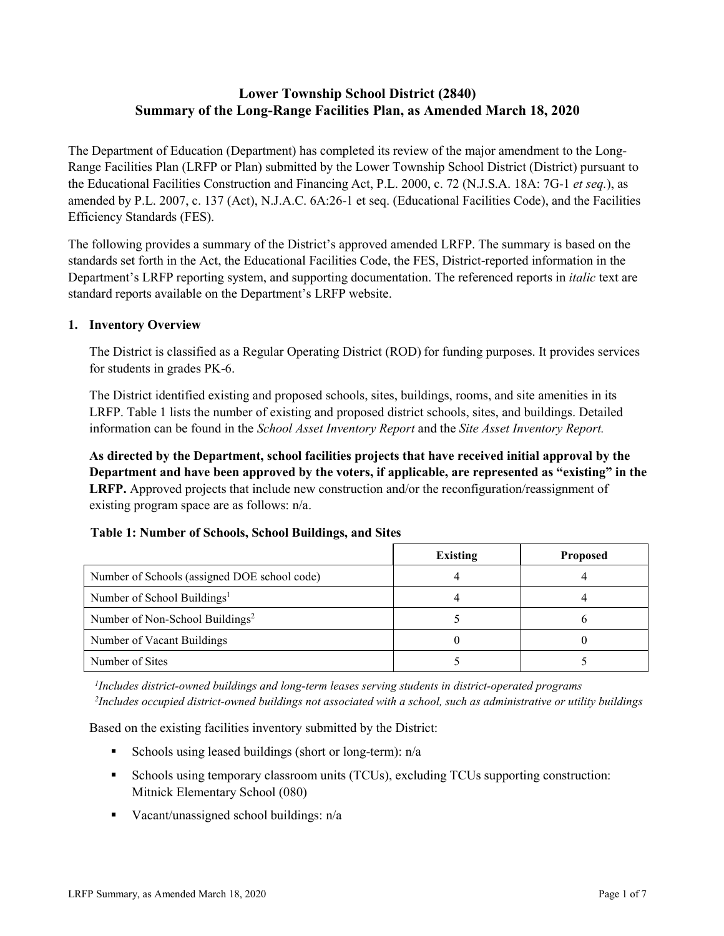# **Lower Township School District (2840) Summary of the Long-Range Facilities Plan, as Amended March 18, 2020**

The Department of Education (Department) has completed its review of the major amendment to the Long-Range Facilities Plan (LRFP or Plan) submitted by the Lower Township School District (District) pursuant to the Educational Facilities Construction and Financing Act, P.L. 2000, c. 72 (N.J.S.A. 18A: 7G-1 *et seq.*), as amended by P.L. 2007, c. 137 (Act), N.J.A.C. 6A:26-1 et seq. (Educational Facilities Code), and the Facilities Efficiency Standards (FES).

The following provides a summary of the District's approved amended LRFP. The summary is based on the standards set forth in the Act, the Educational Facilities Code, the FES, District-reported information in the Department's LRFP reporting system, and supporting documentation. The referenced reports in *italic* text are standard reports available on the Department's LRFP website.

#### **1. Inventory Overview**

The District is classified as a Regular Operating District (ROD) for funding purposes. It provides services for students in grades PK-6.

The District identified existing and proposed schools, sites, buildings, rooms, and site amenities in its LRFP. Table 1 lists the number of existing and proposed district schools, sites, and buildings. Detailed information can be found in the *School Asset Inventory Report* and the *Site Asset Inventory Report.*

**As directed by the Department, school facilities projects that have received initial approval by the Department and have been approved by the voters, if applicable, are represented as "existing" in the LRFP.** Approved projects that include new construction and/or the reconfiguration/reassignment of existing program space are as follows: n/a.

#### **Table 1: Number of Schools, School Buildings, and Sites**

|                                              | Existing | <b>Proposed</b> |
|----------------------------------------------|----------|-----------------|
| Number of Schools (assigned DOE school code) |          |                 |
| Number of School Buildings <sup>1</sup>      |          |                 |
| Number of Non-School Buildings <sup>2</sup>  |          |                 |
| Number of Vacant Buildings                   |          |                 |
| Number of Sites                              |          |                 |

*1 Includes district-owned buildings and long-term leases serving students in district-operated programs 2 Includes occupied district-owned buildings not associated with a school, such as administrative or utility buildings*

Based on the existing facilities inventory submitted by the District:

- Schools using leased buildings (short or long-term):  $n/a$
- Schools using temporary classroom units (TCUs), excluding TCUs supporting construction: Mitnick Elementary School (080)
- Vacant/unassigned school buildings:  $n/a$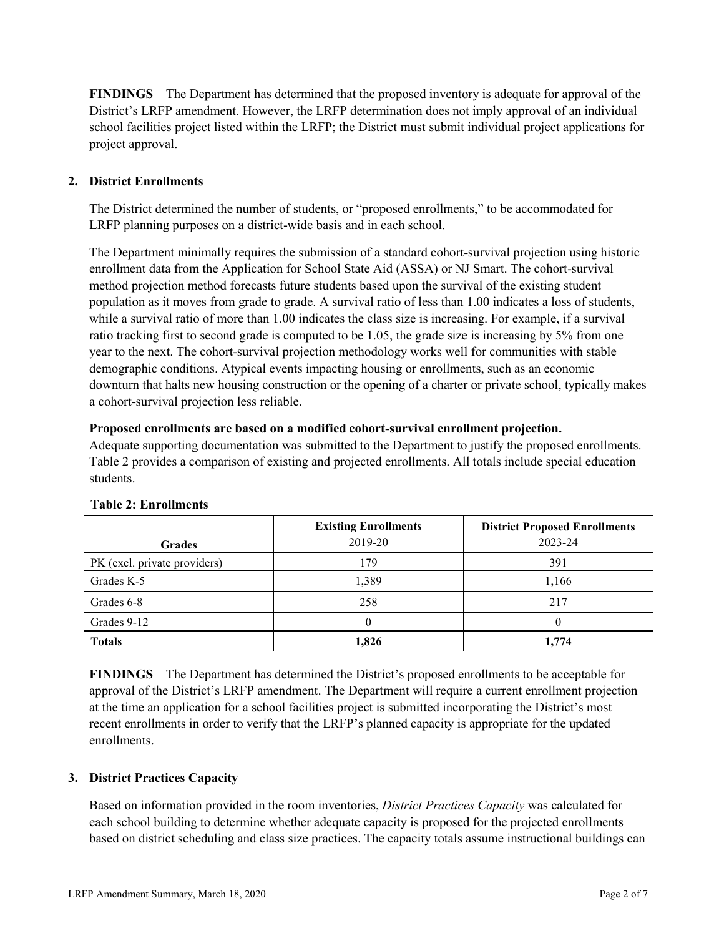**FINDINGS** The Department has determined that the proposed inventory is adequate for approval of the District's LRFP amendment. However, the LRFP determination does not imply approval of an individual school facilities project listed within the LRFP; the District must submit individual project applications for project approval.

## **2. District Enrollments**

The District determined the number of students, or "proposed enrollments," to be accommodated for LRFP planning purposes on a district-wide basis and in each school.

The Department minimally requires the submission of a standard cohort-survival projection using historic enrollment data from the Application for School State Aid (ASSA) or NJ Smart. The cohort-survival method projection method forecasts future students based upon the survival of the existing student population as it moves from grade to grade. A survival ratio of less than 1.00 indicates a loss of students, while a survival ratio of more than 1.00 indicates the class size is increasing. For example, if a survival ratio tracking first to second grade is computed to be 1.05, the grade size is increasing by 5% from one year to the next. The cohort-survival projection methodology works well for communities with stable demographic conditions. Atypical events impacting housing or enrollments, such as an economic downturn that halts new housing construction or the opening of a charter or private school, typically makes a cohort-survival projection less reliable.

#### **Proposed enrollments are based on a modified cohort-survival enrollment projection.**

Adequate supporting documentation was submitted to the Department to justify the proposed enrollments. Table 2 provides a comparison of existing and projected enrollments. All totals include special education students.

|                              | <b>Existing Enrollments</b> | <b>District Proposed Enrollments</b> |  |  |
|------------------------------|-----------------------------|--------------------------------------|--|--|
| <b>Grades</b>                | 2019-20                     | 2023-24                              |  |  |
| PK (excl. private providers) | 179                         | 391                                  |  |  |
| Grades K-5                   | 1,389                       | 1,166                                |  |  |
| Grades 6-8                   | 258                         | 217                                  |  |  |
| Grades 9-12                  |                             |                                      |  |  |
| <b>Totals</b>                | 1,826                       | 1,774                                |  |  |

#### **Table 2: Enrollments**

**FINDINGS** The Department has determined the District's proposed enrollments to be acceptable for approval of the District's LRFP amendment. The Department will require a current enrollment projection at the time an application for a school facilities project is submitted incorporating the District's most recent enrollments in order to verify that the LRFP's planned capacity is appropriate for the updated enrollments.

#### **3. District Practices Capacity**

Based on information provided in the room inventories, *District Practices Capacity* was calculated for each school building to determine whether adequate capacity is proposed for the projected enrollments based on district scheduling and class size practices. The capacity totals assume instructional buildings can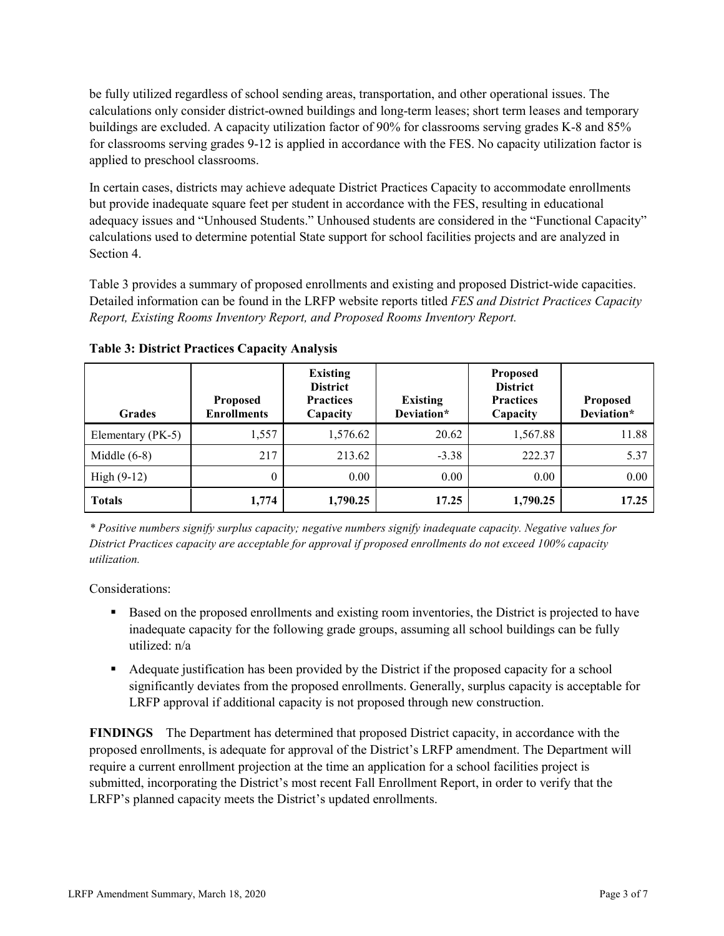be fully utilized regardless of school sending areas, transportation, and other operational issues. The calculations only consider district-owned buildings and long-term leases; short term leases and temporary buildings are excluded. A capacity utilization factor of 90% for classrooms serving grades K-8 and 85% for classrooms serving grades 9-12 is applied in accordance with the FES. No capacity utilization factor is applied to preschool classrooms.

In certain cases, districts may achieve adequate District Practices Capacity to accommodate enrollments but provide inadequate square feet per student in accordance with the FES, resulting in educational adequacy issues and "Unhoused Students." Unhoused students are considered in the "Functional Capacity" calculations used to determine potential State support for school facilities projects and are analyzed in Section 4.

Table 3 provides a summary of proposed enrollments and existing and proposed District-wide capacities. Detailed information can be found in the LRFP website reports titled *FES and District Practices Capacity Report, Existing Rooms Inventory Report, and Proposed Rooms Inventory Report.*

| <b>Grades</b>     | <b>Proposed</b><br><b>Enrollments</b> | <b>Existing</b><br><b>District</b><br><b>Practices</b><br>Capacity | <b>Existing</b><br>Deviation* | <b>Proposed</b><br><b>District</b><br><b>Practices</b><br>Capacity | <b>Proposed</b><br>Deviation* |
|-------------------|---------------------------------------|--------------------------------------------------------------------|-------------------------------|--------------------------------------------------------------------|-------------------------------|
| Elementary (PK-5) | 1,557                                 | 1,576.62                                                           | 20.62                         | 1,567.88                                                           | 11.88                         |
| Middle $(6-8)$    | 217                                   | 213.62                                                             | $-3.38$                       | 222.37                                                             | 5.37                          |
| High $(9-12)$     | $\theta$                              | 0.00                                                               | 0.00                          | 0.00                                                               | 0.00                          |
| <b>Totals</b>     | 1,774                                 | 1,790.25                                                           | 17.25                         | 1,790.25                                                           | 17.25                         |

**Table 3: District Practices Capacity Analysis**

*\* Positive numbers signify surplus capacity; negative numbers signify inadequate capacity. Negative values for District Practices capacity are acceptable for approval if proposed enrollments do not exceed 100% capacity utilization.*

Considerations:

- **Based on the proposed enrollments and existing room inventories, the District is projected to have** inadequate capacity for the following grade groups, assuming all school buildings can be fully utilized: n/a
- Adequate justification has been provided by the District if the proposed capacity for a school significantly deviates from the proposed enrollments. Generally, surplus capacity is acceptable for LRFP approval if additional capacity is not proposed through new construction.

**FINDINGS**The Department has determined that proposed District capacity, in accordance with the proposed enrollments, is adequate for approval of the District's LRFP amendment. The Department will require a current enrollment projection at the time an application for a school facilities project is submitted, incorporating the District's most recent Fall Enrollment Report, in order to verify that the LRFP's planned capacity meets the District's updated enrollments.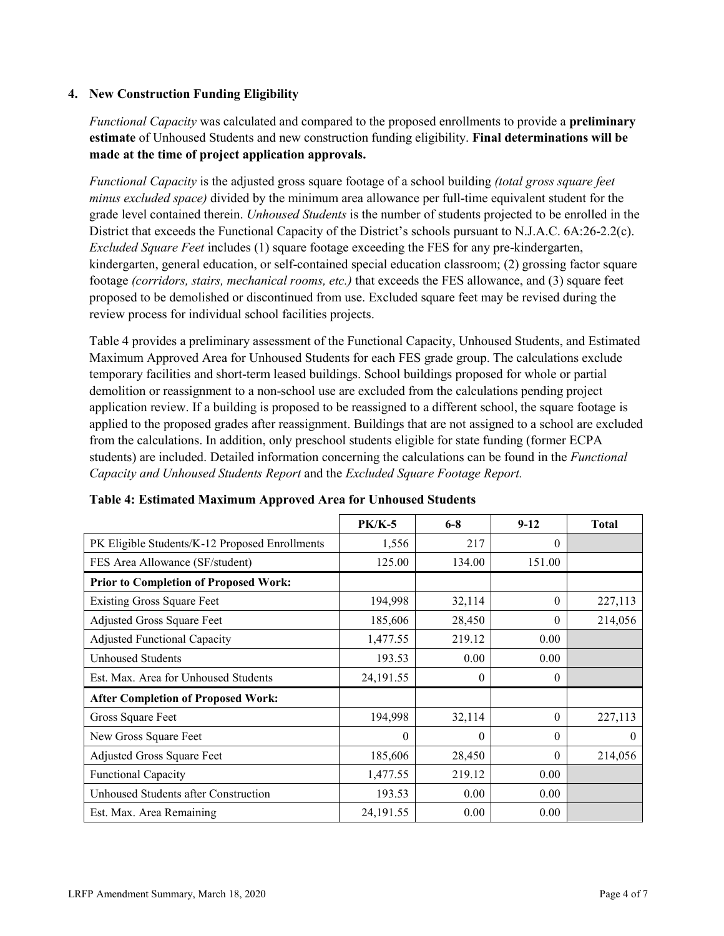### **4. New Construction Funding Eligibility**

*Functional Capacity* was calculated and compared to the proposed enrollments to provide a **preliminary estimate** of Unhoused Students and new construction funding eligibility. **Final determinations will be made at the time of project application approvals.**

*Functional Capacity* is the adjusted gross square footage of a school building *(total gross square feet minus excluded space)* divided by the minimum area allowance per full-time equivalent student for the grade level contained therein. *Unhoused Students* is the number of students projected to be enrolled in the District that exceeds the Functional Capacity of the District's schools pursuant to N.J.A.C. 6A:26-2.2(c). *Excluded Square Feet* includes (1) square footage exceeding the FES for any pre-kindergarten, kindergarten, general education, or self-contained special education classroom; (2) grossing factor square footage *(corridors, stairs, mechanical rooms, etc.)* that exceeds the FES allowance, and (3) square feet proposed to be demolished or discontinued from use. Excluded square feet may be revised during the review process for individual school facilities projects.

Table 4 provides a preliminary assessment of the Functional Capacity, Unhoused Students, and Estimated Maximum Approved Area for Unhoused Students for each FES grade group. The calculations exclude temporary facilities and short-term leased buildings. School buildings proposed for whole or partial demolition or reassignment to a non-school use are excluded from the calculations pending project application review. If a building is proposed to be reassigned to a different school, the square footage is applied to the proposed grades after reassignment. Buildings that are not assigned to a school are excluded from the calculations. In addition, only preschool students eligible for state funding (former ECPA students) are included. Detailed information concerning the calculations can be found in the *Functional Capacity and Unhoused Students Report* and the *Excluded Square Footage Report.*

|                                                | $PK/K-5$    | $6 - 8$  | $9 - 12$ | <b>Total</b> |
|------------------------------------------------|-------------|----------|----------|--------------|
| PK Eligible Students/K-12 Proposed Enrollments | 1,556       | 217      | $\theta$ |              |
| FES Area Allowance (SF/student)                | 125.00      | 134.00   | 151.00   |              |
| <b>Prior to Completion of Proposed Work:</b>   |             |          |          |              |
| <b>Existing Gross Square Feet</b>              | 194,998     | 32,114   | $\theta$ | 227,113      |
| Adjusted Gross Square Feet                     | 185,606     | 28,450   | $\theta$ | 214,056      |
| <b>Adjusted Functional Capacity</b>            | 1,477.55    | 219.12   | 0.00     |              |
| Unhoused Students                              | 193.53      | 0.00     | 0.00     |              |
| Est. Max. Area for Unhoused Students           | 24,191.55   | $^{(1)}$ | 0        |              |
| <b>After Completion of Proposed Work:</b>      |             |          |          |              |
| Gross Square Feet                              | 194,998     | 32,114   | $\theta$ | 227,113      |
| New Gross Square Feet                          | $\theta$    | 0        | $\theta$ | $\theta$     |
| Adjusted Gross Square Feet                     | 185,606     | 28,450   | $\Omega$ | 214,056      |
| <b>Functional Capacity</b>                     | 1,477.55    | 219.12   | 0.00     |              |
| Unhoused Students after Construction           | 193.53      | 0.00     | 0.00     |              |
| Est. Max. Area Remaining                       | 24, 191. 55 | 0.00     | 0.00     |              |

| Table 4: Estimated Maximum Approved Area for Unhoused Students |  |  |
|----------------------------------------------------------------|--|--|
|----------------------------------------------------------------|--|--|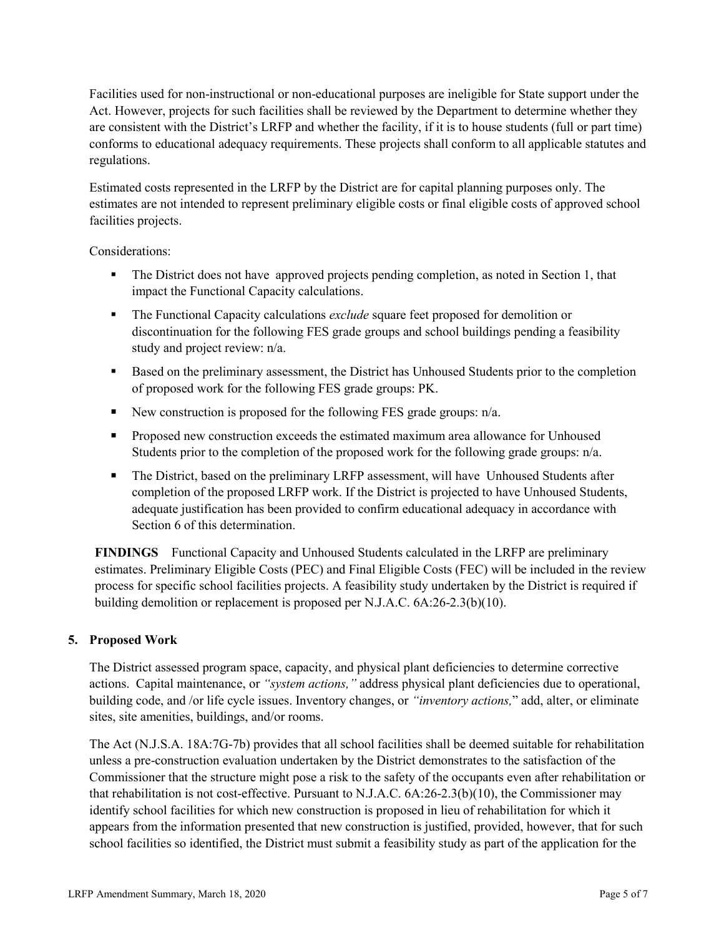Facilities used for non-instructional or non-educational purposes are ineligible for State support under the Act. However, projects for such facilities shall be reviewed by the Department to determine whether they are consistent with the District's LRFP and whether the facility, if it is to house students (full or part time) conforms to educational adequacy requirements. These projects shall conform to all applicable statutes and regulations.

Estimated costs represented in the LRFP by the District are for capital planning purposes only. The estimates are not intended to represent preliminary eligible costs or final eligible costs of approved school facilities projects.

Considerations:

- The District does not have approved projects pending completion, as noted in Section 1, that impact the Functional Capacity calculations.
- The Functional Capacity calculations *exclude* square feet proposed for demolition or discontinuation for the following FES grade groups and school buildings pending a feasibility study and project review: n/a.
- Based on the preliminary assessment, the District has Unhoused Students prior to the completion of proposed work for the following FES grade groups: PK.
- New construction is proposed for the following FES grade groups:  $n/a$ .
- **Proposed new construction exceeds the estimated maximum area allowance for Unhoused** Students prior to the completion of the proposed work for the following grade groups: n/a.
- The District, based on the preliminary LRFP assessment, will have Unhoused Students after completion of the proposed LRFP work. If the District is projected to have Unhoused Students, adequate justification has been provided to confirm educational adequacy in accordance with Section 6 of this determination.

**FINDINGS** Functional Capacity and Unhoused Students calculated in the LRFP are preliminary estimates. Preliminary Eligible Costs (PEC) and Final Eligible Costs (FEC) will be included in the review process for specific school facilities projects. A feasibility study undertaken by the District is required if building demolition or replacement is proposed per N.J.A.C. 6A:26-2.3(b)(10).

## **5. Proposed Work**

The District assessed program space, capacity, and physical plant deficiencies to determine corrective actions. Capital maintenance, or *"system actions,"* address physical plant deficiencies due to operational, building code, and /or life cycle issues. Inventory changes, or *"inventory actions,*" add, alter, or eliminate sites, site amenities, buildings, and/or rooms.

The Act (N.J.S.A. 18A:7G-7b) provides that all school facilities shall be deemed suitable for rehabilitation unless a pre-construction evaluation undertaken by the District demonstrates to the satisfaction of the Commissioner that the structure might pose a risk to the safety of the occupants even after rehabilitation or that rehabilitation is not cost-effective. Pursuant to N.J.A.C. 6A:26-2.3(b)(10), the Commissioner may identify school facilities for which new construction is proposed in lieu of rehabilitation for which it appears from the information presented that new construction is justified, provided, however, that for such school facilities so identified, the District must submit a feasibility study as part of the application for the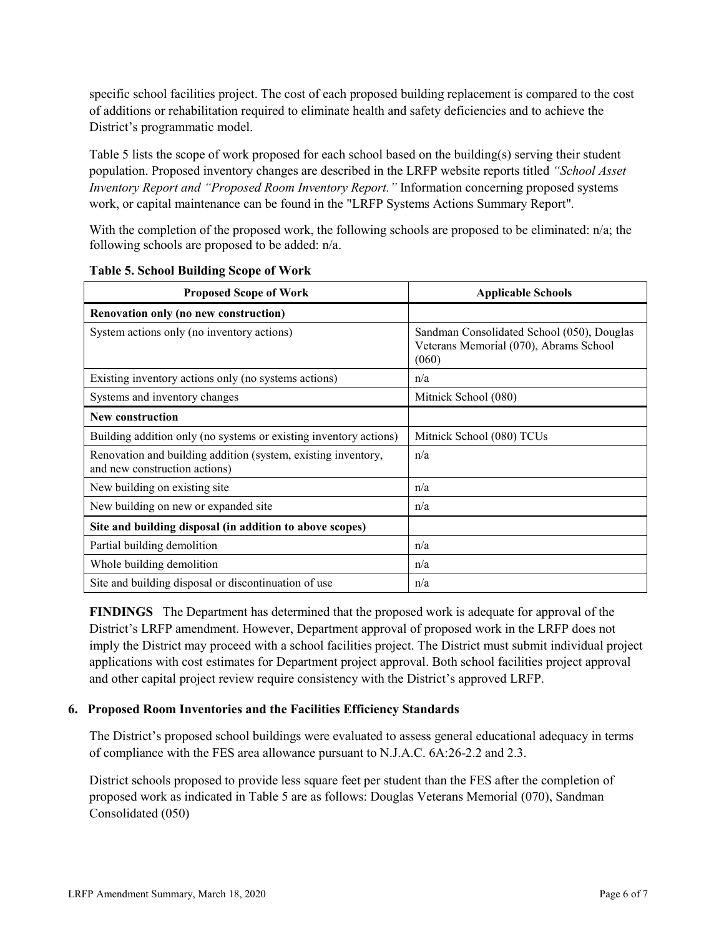specific school facilities project. The cost of each proposed building replacement is compared to the cost of additions or rehabilitation required to eliminate health and safety deficiencies and to achieve the District's programmatic model.

Table 5 lists the scope of work proposed for each school based on the building(s) serving their student population. Proposed inventory changes are described in the LRFP website reports titled *"School Asset Inventory Report and "Proposed Room Inventory Report."* Information concerning proposed systems work, or capital maintenance can be found in the "LRFP Systems Actions Summary Report".

With the completion of the proposed work, the following schools are proposed to be eliminated: n/a; the following schools are proposed to be added: n/a.

| <b>Proposed Scope of Work</b>                                                                  | <b>Applicable Schools</b>                                                                     |  |  |
|------------------------------------------------------------------------------------------------|-----------------------------------------------------------------------------------------------|--|--|
| Renovation only (no new construction)                                                          |                                                                                               |  |  |
| System actions only (no inventory actions)                                                     | Sandman Consolidated School (050), Douglas<br>Veterans Memorial (070), Abrams School<br>(060) |  |  |
| Existing inventory actions only (no systems actions)                                           | n/a                                                                                           |  |  |
| Systems and inventory changes                                                                  | Mitnick School (080)                                                                          |  |  |
| <b>New construction</b>                                                                        |                                                                                               |  |  |
| Building addition only (no systems or existing inventory actions)                              | Mitnick School (080) TCUs                                                                     |  |  |
| Renovation and building addition (system, existing inventory,<br>and new construction actions) | n/a                                                                                           |  |  |
| New building on existing site                                                                  | n/a                                                                                           |  |  |
| New building on new or expanded site                                                           | n/a                                                                                           |  |  |
| Site and building disposal (in addition to above scopes)                                       |                                                                                               |  |  |
| Partial building demolition                                                                    | n/a                                                                                           |  |  |
| Whole building demolition                                                                      | n/a                                                                                           |  |  |
| Site and building disposal or discontinuation of use                                           | n/a                                                                                           |  |  |

|  |  |  | <b>Table 5. School Building Scope of Work</b> |  |  |  |
|--|--|--|-----------------------------------------------|--|--|--|
|--|--|--|-----------------------------------------------|--|--|--|

**FINDINGS** The Department has determined that the proposed work is adequate for approval of the District's LRFP amendment. However, Department approval of proposed work in the LRFP does not imply the District may proceed with a school facilities project. The District must submit individual project applications with cost estimates for Department project approval. Both school facilities project approval and other capital project review require consistency with the District's approved LRFP.

#### **6. Proposed Room Inventories and the Facilities Efficiency Standards**

The District's proposed school buildings were evaluated to assess general educational adequacy in terms of compliance with the FES area allowance pursuant to N.J.A.C. 6A:26-2.2 and 2.3.

District schools proposed to provide less square feet per student than the FES after the completion of proposed work as indicated in Table 5 are as follows: Douglas Veterans Memorial (070), Sandman Consolidated (050)